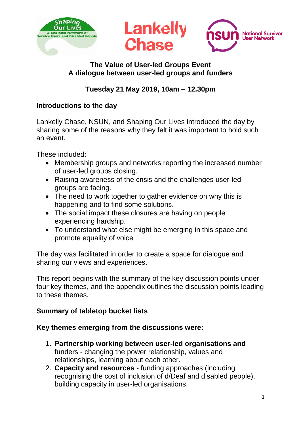

#### **The Value of User-led Groups Event A dialogue between user-led groups and funders**

# **Tuesday 21 May 2019, 10am – 12.30pm**

### **Introductions to the day**

Lankelly Chase, NSUN, and Shaping Our Lives introduced the day by sharing some of the reasons why they felt it was important to hold such an event.

These included:

- Membership groups and networks reporting the increased number of user-led groups closing.
- Raising awareness of the crisis and the challenges user-led groups are facing.
- The need to work together to gather evidence on why this is happening and to find some solutions.
- The social impact these closures are having on people experiencing hardship.
- To understand what else might be emerging in this space and promote equality of voice

The day was facilitated in order to create a space for dialogue and sharing our views and experiences.

This report begins with the summary of the key discussion points under four key themes, and the appendix outlines the discussion points leading to these themes.

## **Summary of tabletop bucket lists**

## **Key themes emerging from the discussions were:**

- 1. **Partnership working between user-led organisations and** funders - changing the power relationship, values and relationships, learning about each other.
- 2. **Capacity and resources** funding approaches (including recognising the cost of inclusion of d/Deaf and disabled people), building capacity in user-led organisations.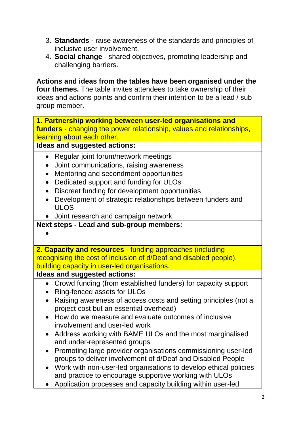- 3. **Standards**  raise awareness of the standards and principles of inclusive user involvement.
- 4. **Social change** shared objectives, promoting leadership and challenging barriers.

**Actions and ideas from the tables have been organised under the four themes.** The table invites attendees to take ownership of their ideas and actions points and confirm their intention to be a lead / sub group member.

**1. Partnership working between user-led organisations and funders** - changing the power relationship, values and relationships, learning about each other.

**Ideas and suggested actions:**

- Regular joint forum/network meetings
- Joint communications, raising awareness
- Mentoring and secondment opportunities
- Dedicated support and funding for ULOs
- Discreet funding for development opportunities
- Development of strategic relationships between funders and ULOS
- Joint research and campaign network

**Next steps - Lead and sub-group members:**

•

**2. Capacity and resources** - funding approaches (including recognising the cost of inclusion of d/Deaf and disabled people), building capacity in user-led organisations.

**Ideas and suggested actions:**

- Crowd funding (from established funders) for capacity support
- Ring-fenced assets for ULOs
- Raising awareness of access costs and setting principles (not a project cost but an essential overhead)
- How do we measure and evaluate outcomes of inclusive involvement and user-led work
- Address working with BAME ULOs and the most marginalised and under-represented groups
- Promoting large provider organisations commissioning user-led groups to deliver involvement of d/Deaf and Disabled People
- Work with non-user-led organisations to develop ethical policies and practice to encourage supportive working with ULOs
- Application processes and capacity building within user-led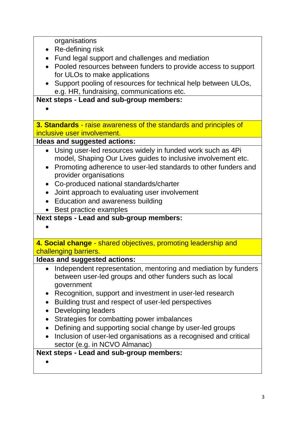| organisations                                                               |
|-----------------------------------------------------------------------------|
| Re-defining risk<br>$\bullet$                                               |
| Fund legal support and challenges and mediation<br>$\bullet$                |
| Pooled resources between funders to provide access to support               |
| for ULOs to make applications                                               |
| Support pooling of resources for technical help between ULOs,               |
| e.g. HR, fundraising, communications etc.                                   |
| Next steps - Lead and sub-group members:                                    |
|                                                                             |
|                                                                             |
| 3. Standards - raise awareness of the standards and principles of           |
| inclusive user involvement.                                                 |
| Ideas and suggested actions:                                                |
| Using user-led resources widely in funded work such as 4Pi<br>$\bullet$     |
| model, Shaping Our Lives guides to inclusive involvement etc.               |
| Promoting adherence to user-led standards to other funders and<br>$\bullet$ |
| provider organisations                                                      |
| Co-produced national standards/charter                                      |
| Joint approach to evaluating user involvement<br>$\bullet$                  |
| Education and awareness building                                            |
| Best practice examples                                                      |
| Next steps - Lead and sub-group members:                                    |
|                                                                             |
|                                                                             |
| 4. Social change - shared objectives, promoting leadership and              |
| challenging barriers.                                                       |
| Ideas and suggested actions:                                                |
| Independent representation, mentoring and mediation by funders              |
| between user-led groups and other funders such as local                     |
| government                                                                  |
| Recognition, support and investment in user-led research<br>$\bullet$       |
| Building trust and respect of user-led perspectives<br>$\bullet$            |
| <b>Developing leaders</b>                                                   |
| Strategies for combatting power imbalances                                  |
| Defining and supporting social change by user-led groups                    |
| Inclusion of user-led organisations as a recognised and critical            |
| sector (e.g. in NCVO Almanac)                                               |
| Next steps - Lead and sub-group members:                                    |
|                                                                             |
|                                                                             |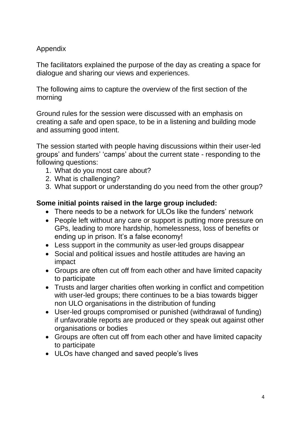## Appendix

The facilitators explained the purpose of the day as creating a space for dialogue and sharing our views and experiences.

The following aims to capture the overview of the first section of the morning

Ground rules for the session were discussed with an emphasis on creating a safe and open space, to be in a listening and building mode and assuming good intent.

The session started with people having discussions within their user-led groups' and funders' 'camps' about the current state - responding to the following questions:

- 1. What do you most care about?
- 2. What is challenging?
- 3. What support or understanding do you need from the other group?

#### **Some initial points raised in the large group included:**

- There needs to be a network for ULOs like the funders' network
- People left without any care or support is putting more pressure on GPs, leading to more hardship, homelessness, loss of benefits or ending up in prison. It's a false economy!
- Less support in the community as user-led groups disappear
- Social and political issues and hostile attitudes are having an impact
- Groups are often cut off from each other and have limited capacity to participate
- Trusts and larger charities often working in conflict and competition with user-led groups; there continues to be a bias towards bigger non ULO organisations in the distribution of funding
- User-led groups compromised or punished (withdrawal of funding) if unfavorable reports are produced or they speak out against other organisations or bodies
- Groups are often cut off from each other and have limited capacity to participate
- ULOs have changed and saved people's lives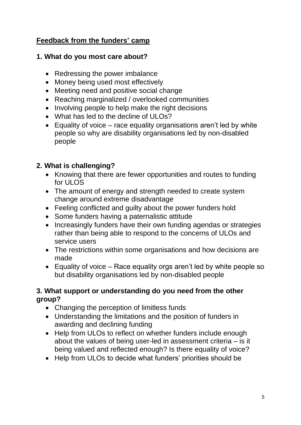## **Feedback from the funders' camp**

### **1. What do you most care about?**

- Redressing the power imbalance
- Money being used most effectively
- Meeting need and positive social change
- Reaching marginalized / overlooked communities
- Involving people to help make the right decisions
- What has led to the decline of ULOs?
- Equality of voice race equality organisations aren't led by white people so why are disability organisations led by non-disabled people

## **2. What is challenging?**

- Knowing that there are fewer opportunities and routes to funding for ULOS
- The amount of energy and strength needed to create system change around extreme disadvantage
- Feeling conflicted and guilty about the power funders hold
- Some funders having a paternalistic attitude
- Increasingly funders have their own funding agendas or strategies rather than being able to respond to the concerns of ULOs and service users
- The restrictions within some organisations and how decisions are made
- Equality of voice Race equality orgs aren't led by white people so but disability organisations led by non-disabled people

### **3. What support or understanding do you need from the other group?**

- Changing the perception of limitless funds
- Understanding the limitations and the position of funders in awarding and declining funding
- Help from ULOs to reflect on whether funders include enough about the values of being user-led in assessment criteria – is it being valued and reflected enough? Is there equality of voice?
- Help from ULOs to decide what funders' priorities should be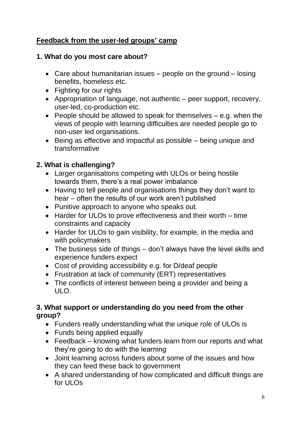# **Feedback from the user-led groups' camp**

## **1. What do you most care about?**

- Care about humanitarian issues people on the ground losing benefits, homeless etc.
- Fighting for our rights
- Appropriation of language, not authentic peer support, recovery, user-led, co-production etc.
- People should be allowed to speak for themselves e.g. when the views of people with learning difficulties are needed people go to non-user led organisations.
- Being as effective and impactful as possible being unique and transformative

## **2. What is challenging?**

- Larger organisations competing with ULOs or being hostile towards them, there's a real power imbalance
- Having to tell people and organisations things they don't want to hear – often the results of our work aren't published
- Punitive approach to anyone who speaks out.
- Harder for ULOs to prove effectiveness and their worth time constraints and capacity
- Harder for ULOs to gain visibility, for example, in the media and with policymakers
- The business side of things don't always have the level skills and experience funders expect
- Cost of providing accessibility e.g. for D/deaf people
- Frustration at lack of community (ERT) representatives
- The conflicts of interest between being a provider and being a  $ULO$

### **3. What support or understanding do you need from the other group?**

- Funders really understanding what the unique role of ULOs is
- Funds being applied equally
- Feedback knowing what funders learn from our reports and what they're going to do with the learning
- Joint learning across funders about some of the issues and how they can feed these back to government
- A shared understanding of how complicated and difficult things are for ULOs